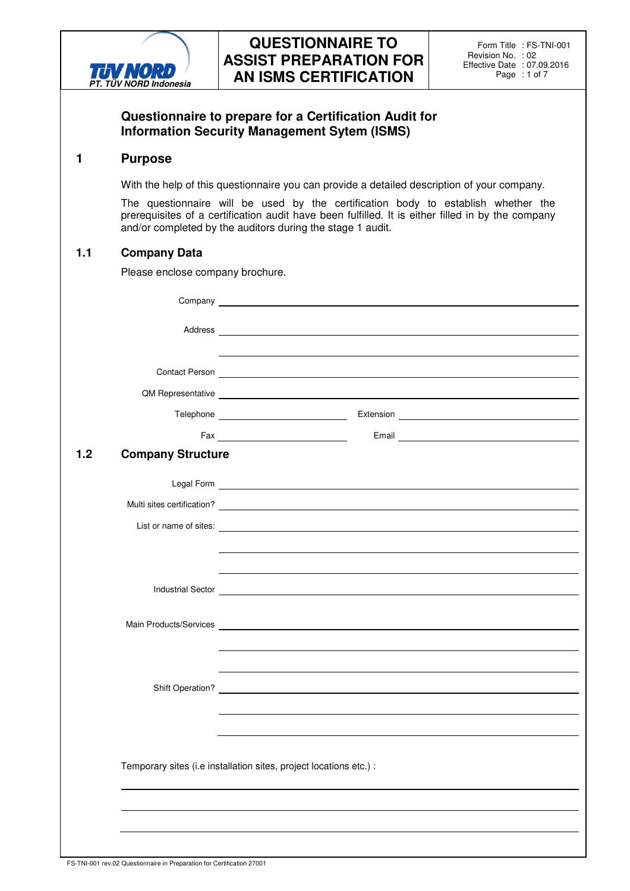

#### **Questionnaire to prepare for a Certification Audit for Information Security Management Sytem (ISMS)**

#### **1 Purpose**

With the help of this questionnaire you can provide a detailed description of your company.

The questionnaire will be used by the certification body to establish whether the prerequisites of a certification audit have been fulfilled. It is either filled in by the company and/or completed by the auditors during the stage 1 audit.

#### **1.1 Company Data**

Please enclose company brochure.

|                                                                    | Address <b>Example 2020 Contract Contract Contract Contract Contract Contract Contract Contract Contract Contract Contract Contract Contract Contract Contract Contract Contract Contract Contract Contract Contract Contract </b>                                                                                                                                 |  |
|--------------------------------------------------------------------|--------------------------------------------------------------------------------------------------------------------------------------------------------------------------------------------------------------------------------------------------------------------------------------------------------------------------------------------------------------------|--|
|                                                                    |                                                                                                                                                                                                                                                                                                                                                                    |  |
|                                                                    | Contact Person <u>Contact Contact Contact Contact Contact Contact Contact Contact Contact Contact Contact Contact Contact Contact Contact Contact Contact Contact Contact Contact Contact Contact Contact Contact Contact Contac</u>                                                                                                                               |  |
|                                                                    |                                                                                                                                                                                                                                                                                                                                                                    |  |
|                                                                    |                                                                                                                                                                                                                                                                                                                                                                    |  |
|                                                                    | $\begin{picture}(180,10) \put(0,0){\vector(1,0){100}} \put(15,0){\vector(1,0){100}} \put(15,0){\vector(1,0){100}} \put(15,0){\vector(1,0){100}} \put(15,0){\vector(1,0){100}} \put(15,0){\vector(1,0){100}} \put(15,0){\vector(1,0){100}} \put(15,0){\vector(1,0){100}} \put(15,0){\vector(1,0){100}} \put(15,0){\vector(1,0){100}} \put(15,0){\vector(1,0){100}}$ |  |
| <b>Company Structure</b>                                           |                                                                                                                                                                                                                                                                                                                                                                    |  |
|                                                                    |                                                                                                                                                                                                                                                                                                                                                                    |  |
|                                                                    | Multi sites certification?                                                                                                                                                                                                                                                                                                                                         |  |
|                                                                    | List or name of sites:                                                                                                                                                                                                                                                                                                                                             |  |
|                                                                    |                                                                                                                                                                                                                                                                                                                                                                    |  |
|                                                                    |                                                                                                                                                                                                                                                                                                                                                                    |  |
|                                                                    |                                                                                                                                                                                                                                                                                                                                                                    |  |
|                                                                    |                                                                                                                                                                                                                                                                                                                                                                    |  |
|                                                                    |                                                                                                                                                                                                                                                                                                                                                                    |  |
|                                                                    |                                                                                                                                                                                                                                                                                                                                                                    |  |
|                                                                    |                                                                                                                                                                                                                                                                                                                                                                    |  |
|                                                                    |                                                                                                                                                                                                                                                                                                                                                                    |  |
|                                                                    |                                                                                                                                                                                                                                                                                                                                                                    |  |
|                                                                    |                                                                                                                                                                                                                                                                                                                                                                    |  |
| Temporary sites (i.e installation sites, project locations etc.) : |                                                                                                                                                                                                                                                                                                                                                                    |  |
|                                                                    |                                                                                                                                                                                                                                                                                                                                                                    |  |
|                                                                    |                                                                                                                                                                                                                                                                                                                                                                    |  |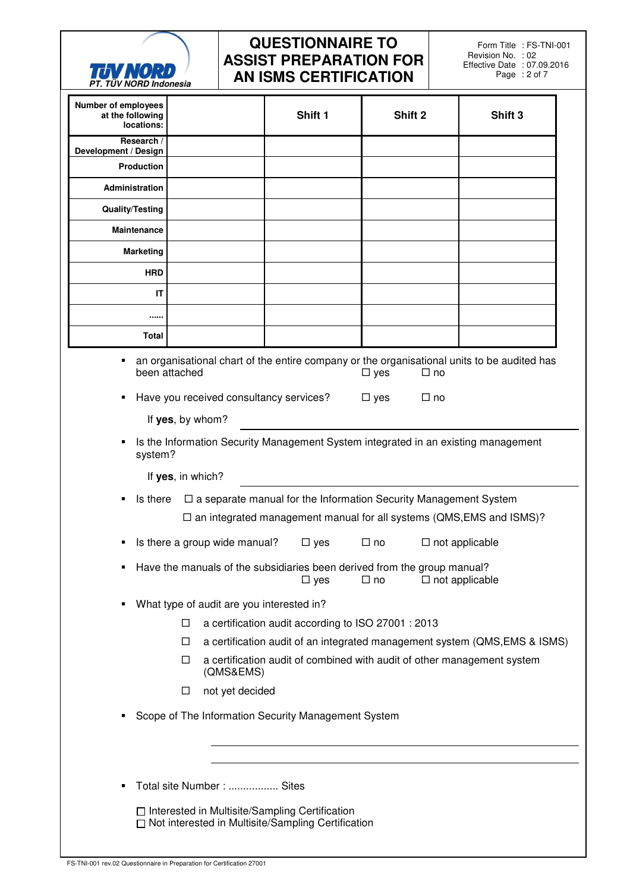

| <b>Number of employees</b><br>at the following<br>locations:                                                                           |                                                                                                          | Shift <sub>1</sub> | Shift 2                    | Shift 3                                                                                     |
|----------------------------------------------------------------------------------------------------------------------------------------|----------------------------------------------------------------------------------------------------------|--------------------|----------------------------|---------------------------------------------------------------------------------------------|
| Research /<br>Development / Design                                                                                                     |                                                                                                          |                    |                            |                                                                                             |
| Production                                                                                                                             |                                                                                                          |                    |                            |                                                                                             |
| Administration                                                                                                                         |                                                                                                          |                    |                            |                                                                                             |
| Quality/Testing                                                                                                                        |                                                                                                          |                    |                            |                                                                                             |
| <b>Maintenance</b>                                                                                                                     |                                                                                                          |                    |                            |                                                                                             |
| <b>Marketing</b>                                                                                                                       |                                                                                                          |                    |                            |                                                                                             |
| HRD                                                                                                                                    |                                                                                                          |                    |                            |                                                                                             |
| IT                                                                                                                                     |                                                                                                          |                    |                            |                                                                                             |
|                                                                                                                                        |                                                                                                          |                    |                            |                                                                                             |
| <b>Total</b>                                                                                                                           |                                                                                                          |                    |                            |                                                                                             |
|                                                                                                                                        | been attached                                                                                            |                    | $\square$ yes<br>$\Box$ no | an organisational chart of the entire company or the organisational units to be audited has |
|                                                                                                                                        | Have you received consultancy services?                                                                  |                    | $\square$ yes<br>$\Box$ no |                                                                                             |
|                                                                                                                                        | If yes, by whom?                                                                                         |                    |                            |                                                                                             |
| system?                                                                                                                                |                                                                                                          |                    |                            | Is the Information Security Management System integrated in an existing management          |
|                                                                                                                                        | If yes, in which?                                                                                        |                    |                            |                                                                                             |
|                                                                                                                                        | Is there $\Box$ a separate manual for the Information Security Management System                         |                    |                            | $\square$ an integrated management manual for all systems (QMS, EMS and ISMS)?              |
|                                                                                                                                        | Is there a group wide manual?                                                                            | $\Box$ yes         | $\Box$ no                  | $\Box$ not applicable                                                                       |
| Have the manuals of the subsidiaries been derived from the group manual?<br>$\Box$ not applicable<br>$\Box$ no<br>$\Box$ yes           |                                                                                                          |                    |                            |                                                                                             |
|                                                                                                                                        |                                                                                                          |                    |                            |                                                                                             |
| ٠                                                                                                                                      | What type of audit are you interested in?<br>□                                                           |                    |                            |                                                                                             |
| a certification audit according to ISO 27001 : 2013<br>a certification audit of an integrated management system (QMS, EMS & ISMS)<br>□ |                                                                                                          |                    |                            |                                                                                             |
| a certification audit of combined with audit of other management system<br>□<br>(QMS&EMS)                                              |                                                                                                          |                    |                            |                                                                                             |
|                                                                                                                                        | not yet decided<br>□                                                                                     |                    |                            |                                                                                             |
|                                                                                                                                        | Scope of The Information Security Management System                                                      |                    |                            |                                                                                             |
|                                                                                                                                        |                                                                                                          |                    |                            |                                                                                             |
|                                                                                                                                        |                                                                                                          |                    |                            |                                                                                             |
|                                                                                                                                        |                                                                                                          |                    |                            |                                                                                             |
| Total site Number:  Sites                                                                                                              |                                                                                                          |                    |                            |                                                                                             |
|                                                                                                                                        | □ Interested in Multisite/Sampling Certification<br>□ Not interested in Multisite/Sampling Certification |                    |                            |                                                                                             |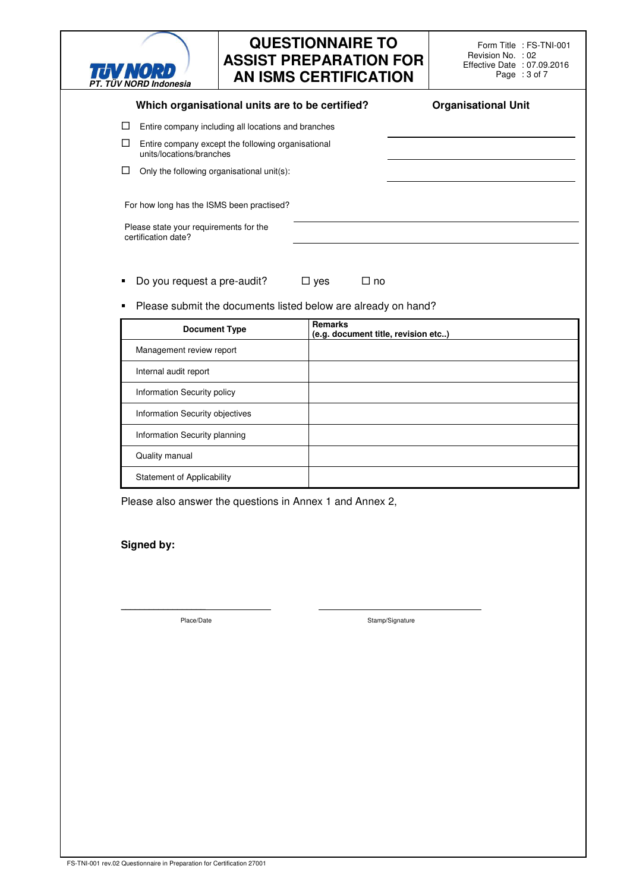| PT. TÜV NORD Indonesia |  |
|------------------------|--|

| Which organisational units are to be certified?                                | <b>Organisational Unit</b> |
|--------------------------------------------------------------------------------|----------------------------|
| Entire company including all locations and branches                            |                            |
| Entire company except the following organisational<br>units/locations/branches |                            |
| Only the following organisational unit(s):                                     |                            |
| For how long has the ISMS been practised?                                      |                            |
| Please state your requirements for the<br>certification date?                  |                            |
|                                                                                |                            |

Do you request a pre-audit?  $\Box$  yes  $\Box$  no

Please submit the documents listed below are already on hand?

| <b>Document Type</b>              | <b>Remarks</b><br>(e.g. document title, revision etc) |
|-----------------------------------|-------------------------------------------------------|
| Management review report          |                                                       |
| Internal audit report             |                                                       |
| Information Security policy       |                                                       |
| Information Security objectives   |                                                       |
| Information Security planning     |                                                       |
| Quality manual                    |                                                       |
| <b>Statement of Applicability</b> |                                                       |

Please also answer the questions in Annex 1 and Annex 2,

**Signed by:** 

 $\overline{\phantom{a}}$  , where  $\overline{\phantom{a}}$ 

Place/Date Stamp/Signature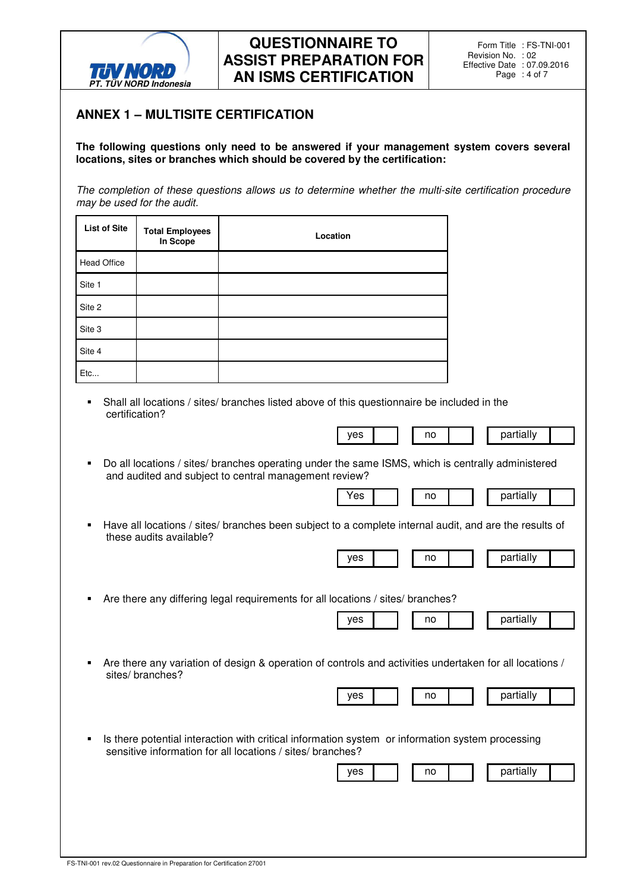

### **ANNEX 1 – MULTISITE CERTIFICATION**

**The following questions only need to be answered if your management system covers several locations, sites or branches which should be covered by the certification:** 

The completion of these questions allows us to determine whether the multi-site certification procedure may be used for the audit.

| <b>List of Site</b>                                                                                                                                                 | <b>Total Employees</b><br>In Scope | Location                                                                                                                                                   |           |  |  |  |
|---------------------------------------------------------------------------------------------------------------------------------------------------------------------|------------------------------------|------------------------------------------------------------------------------------------------------------------------------------------------------------|-----------|--|--|--|
| <b>Head Office</b>                                                                                                                                                  |                                    |                                                                                                                                                            |           |  |  |  |
| Site 1                                                                                                                                                              |                                    |                                                                                                                                                            |           |  |  |  |
| Site 2                                                                                                                                                              |                                    |                                                                                                                                                            |           |  |  |  |
| Site 3                                                                                                                                                              |                                    |                                                                                                                                                            |           |  |  |  |
| Site 4                                                                                                                                                              |                                    |                                                                                                                                                            |           |  |  |  |
| Etc                                                                                                                                                                 |                                    |                                                                                                                                                            |           |  |  |  |
| ٠                                                                                                                                                                   | certification?                     | Shall all locations / sites/ branches listed above of this questionnaire be included in the                                                                |           |  |  |  |
|                                                                                                                                                                     |                                    | yes<br>no                                                                                                                                                  | partially |  |  |  |
| ٠                                                                                                                                                                   |                                    | Do all locations / sites/ branches operating under the same ISMS, which is centrally administered<br>and audited and subject to central management review? |           |  |  |  |
|                                                                                                                                                                     |                                    | Yes<br>no                                                                                                                                                  | partially |  |  |  |
| ٠                                                                                                                                                                   | these audits available?            | Have all locations / sites/ branches been subject to a complete internal audit, and are the results of                                                     |           |  |  |  |
|                                                                                                                                                                     |                                    | yes<br>no                                                                                                                                                  | partially |  |  |  |
| ٠                                                                                                                                                                   |                                    | Are there any differing legal requirements for all locations / sites/ branches?                                                                            |           |  |  |  |
|                                                                                                                                                                     |                                    | no<br>yes                                                                                                                                                  | partially |  |  |  |
| ٠                                                                                                                                                                   | sites/ branches?                   | Are there any variation of design & operation of controls and activities undertaken for all locations /                                                    |           |  |  |  |
|                                                                                                                                                                     |                                    | no<br>yes                                                                                                                                                  | partially |  |  |  |
| Is there potential interaction with critical information system or information system processing<br>٠<br>sensitive information for all locations / sites/ branches? |                                    |                                                                                                                                                            |           |  |  |  |
|                                                                                                                                                                     |                                    | yes<br>no                                                                                                                                                  | partially |  |  |  |
|                                                                                                                                                                     |                                    |                                                                                                                                                            |           |  |  |  |
|                                                                                                                                                                     |                                    |                                                                                                                                                            |           |  |  |  |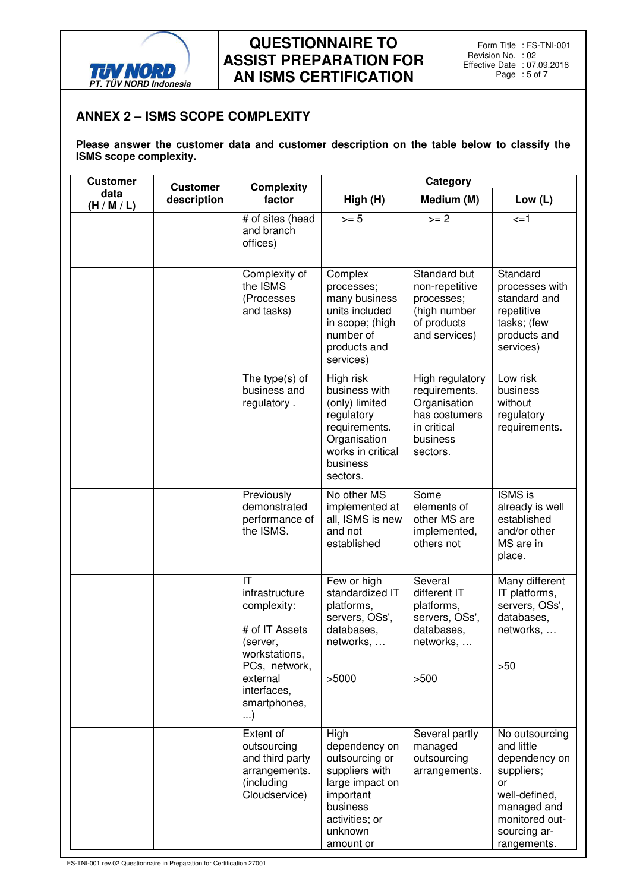

### **ANNEX 2 – ISMS SCOPE COMPLEXITY**

**Please answer the customer data and customer description on the table below to classify the ISMS scope complexity.** 

| <b>Customer</b> | <b>Customer</b> | <b>Complexity</b>                                                                                                                                          | Category                                                                                                                                        |                                                                                                          |                                                                                                                                                    |
|-----------------|-----------------|------------------------------------------------------------------------------------------------------------------------------------------------------------|-------------------------------------------------------------------------------------------------------------------------------------------------|----------------------------------------------------------------------------------------------------------|----------------------------------------------------------------------------------------------------------------------------------------------------|
| data<br>(H/M/L) | description     | factor                                                                                                                                                     | High (H)                                                                                                                                        | Medium (M)                                                                                               | Low $(L)$                                                                                                                                          |
|                 |                 | # of sites (head<br>and branch<br>offices)                                                                                                                 | $>= 5$                                                                                                                                          | $>= 2$                                                                                                   | $\leq$ =1                                                                                                                                          |
|                 |                 | Complexity of<br>the ISMS<br>(Processes<br>and tasks)                                                                                                      | Complex<br>processes;<br>many business<br>units included<br>in scope; (high<br>number of<br>products and<br>services)                           | Standard but<br>non-repetitive<br>processes;<br>(high number<br>of products<br>and services)             | Standard<br>processes with<br>standard and<br>repetitive<br>tasks; (few<br>products and<br>services)                                               |
|                 |                 | The type(s) of<br>business and<br>regulatory.                                                                                                              | High risk<br>business with<br>(only) limited<br>regulatory<br>requirements.<br>Organisation<br>works in critical<br>business<br>sectors.        | High regulatory<br>requirements.<br>Organisation<br>has costumers<br>in critical<br>business<br>sectors. | Low risk<br>business<br>without<br>regulatory<br>requirements.                                                                                     |
|                 |                 | Previously<br>demonstrated<br>performance of<br>the ISMS.                                                                                                  | No other MS<br>implemented at<br>all, ISMS is new<br>and not<br>established                                                                     | Some<br>elements of<br>other MS are<br>implemented,<br>others not                                        | <b>ISMS</b> is<br>already is well<br>established<br>and/or other<br>MS are in<br>place.                                                            |
|                 |                 | IT<br>infrastructure<br>complexity:<br># of IT Assets<br>(server,<br>workstations,<br>PCs, network,<br>external<br>interfaces,<br>smartphones,<br>$\ldots$ | Few or high<br>standardized IT<br>platforms,<br>servers, OSs',<br>databases,<br>networks,<br>>5000                                              | Several<br>different IT<br>platforms,<br>servers, OSs',<br>databases,<br>networks,<br>>500               | Many different<br>IT platforms,<br>servers, OSs',<br>databases,<br>networks,<br>>50                                                                |
|                 |                 | Extent of<br>outsourcing<br>and third party<br>arrangements.<br>(including<br>Cloudservice)                                                                | High<br>dependency on<br>outsourcing or<br>suppliers with<br>large impact on<br>important<br>business<br>activities; or<br>unknown<br>amount or | Several partly<br>managed<br>outsourcing<br>arrangements.                                                | No outsourcing<br>and little<br>dependency on<br>suppliers;<br>or<br>well-defined,<br>managed and<br>monitored out-<br>sourcing ar-<br>rangements. |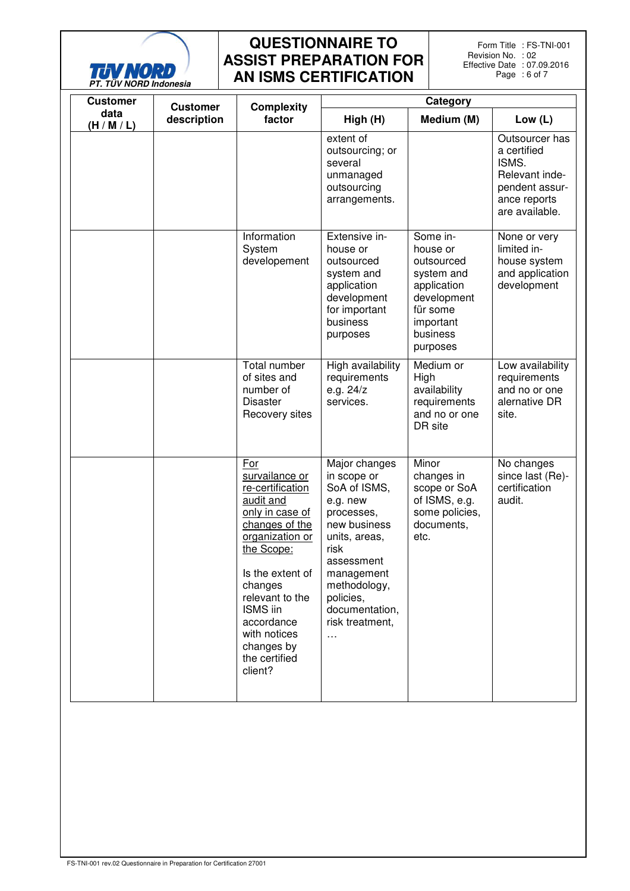

| <b>Customer</b> | <b>Customer</b> | <b>Complexity</b>                                                                                                                                                                                                                                                  | Category                                                                                                                                                                                                                  |                                                                                                                                 |                                                                                                              |
|-----------------|-----------------|--------------------------------------------------------------------------------------------------------------------------------------------------------------------------------------------------------------------------------------------------------------------|---------------------------------------------------------------------------------------------------------------------------------------------------------------------------------------------------------------------------|---------------------------------------------------------------------------------------------------------------------------------|--------------------------------------------------------------------------------------------------------------|
| data<br>(H/M/L) | description     | factor                                                                                                                                                                                                                                                             | High (H)                                                                                                                                                                                                                  | Medium (M)                                                                                                                      | Low $(L)$                                                                                                    |
|                 |                 |                                                                                                                                                                                                                                                                    | extent of<br>outsourcing; or<br>several<br>unmanaged<br>outsourcing<br>arrangements.                                                                                                                                      |                                                                                                                                 | Outsourcer has<br>a certified<br>ISMS.<br>Relevant inde-<br>pendent assur-<br>ance reports<br>are available. |
|                 |                 | Information<br>System<br>developement                                                                                                                                                                                                                              | Extensive in-<br>house or<br>outsourced<br>system and<br>application<br>development<br>for important<br>business<br>purposes                                                                                              | Some in-<br>house or<br>outsourced<br>system and<br>application<br>development<br>für some<br>important<br>business<br>purposes | None or very<br>limited in-<br>house system<br>and application<br>development                                |
|                 |                 | Total number<br>of sites and<br>number of<br><b>Disaster</b><br>Recovery sites                                                                                                                                                                                     | High availability<br>requirements<br>e.g. 24/z<br>services.                                                                                                                                                               | Medium or<br>High<br>availability<br>requirements<br>and no or one<br>DR site                                                   | Low availability<br>requirements<br>and no or one<br>alernative DR<br>site.                                  |
|                 |                 | For<br>survailance or<br>re-certification<br>audit and<br>only in case of<br>changes of the<br>organization or<br>the Scope:<br>Is the extent of<br>changes<br>relevant to the<br>ISMS iin<br>accordance<br>with notices<br>changes by<br>the certified<br>client? | Major changes<br>in scope or<br>SoA of ISMS,<br>e.g. new<br>processes,<br>new business<br>units, areas,<br>risk<br>assessment<br>management<br>methodology,<br>policies,<br>documentation,<br>risk treatment,<br>$\cdots$ | Minor<br>changes in<br>scope or SoA<br>of ISMS, e.g.<br>some policies,<br>documents,<br>etc.                                    | No changes<br>since last (Re)-<br>certification<br>audit.                                                    |